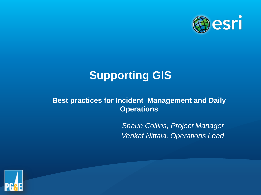

# **Supporting GIS**

#### **Best practices for Incident Management and Daily Operations**

*Shaun Collins, Project Manager Venkat Nittala, Operations Lead*

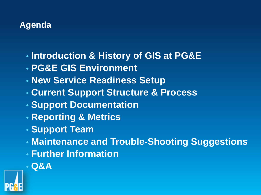# **Agenda**

- **Introduction & History of GIS at PG&E**
- **PG&E GIS Environment**
- **New Service Readiness Setup**
- **Current Support Structure & Process**
- **Support Documentation**
- **Reporting & Metrics**
- **Support Team**
- **Maintenance and Trouble-Shooting Suggestions**
- **Further Information**
- **Q&A**

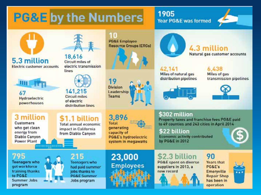# **PG&E by the Numbers**

#### 1905 Year PG&E was formed



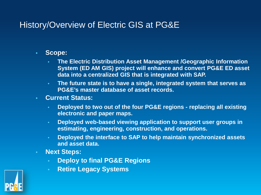# History/Overview of Electric GIS at PG&E

- **Scope:** 
	- **The Electric Distribution Asset Management /Geographic Information System (ED AM GIS) project will enhance and convert PG&E ED asset data into a centralized GIS that is integrated with SAP.**
	- **The future state is to have a single, integrated system that serves as PG&E's master database of asset records.**
- **Current Status:**
	- **Deployed to two out of the four PG&E regions - replacing all existing electronic and paper maps.**
	- **Deployed web-based viewing application to support user groups in estimating, engineering, construction, and operations.**
	- **Deployed the interface to SAP to help maintain synchronized assets and asset data.**
- **Next Steps:**
	- **Deploy to final PG&E Regions**
	- **Retire Legacy Systems**

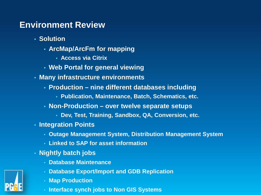# **Environment Review**

- **Solution**
	- **ArcMap/ArcFm for mapping**
		- **Access via Citrix**
	- **Web Portal for general viewing**
- **Many infrastructure environments**
	- **Production – nine different databases including**
		- **Publication, Maintenance, Batch, Schematics, etc.**
	- **Non-Production – over twelve separate setups** 
		- **Dev, Test, Training, Sandbox, QA, Conversion, etc.**
- **Integration Points**
	- **Outage Management System, Distribution Management System**
	- **Linked to SAP for asset information**
- **Nightly batch jobs**
	- **Database Maintenance**
	- **Database Export/Import and GDB Replication**
	- **Map Production**
	- **Interface synch jobs to Non GIS Systems**

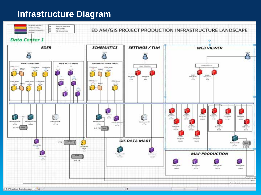# **Infrastructure Diagram**

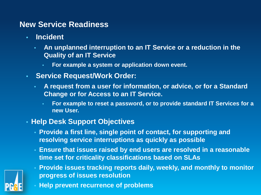### **New Service Readiness**

- **Incident**
	- **An unplanned interruption to an IT Service or a reduction in the Quality of an IT Service**
		- **For example a system or application down event.**
- **Service Request/Work Order:** 
	- **A request from a user for information, or advice, or for a Standard Change or for Access to an IT Service.** 
		- **For example to reset a password, or to provide standard IT Services for a new User.**
- **Help Desk Support Objectives**
	- **Provide a first line, single point of contact, for supporting and resolving service interruptions as quickly as possible**
	- **Ensure that issues raised by end users are resolved in a reasonable time set for criticality classifications based on SLAs**



- **Provide issues tracking reports daily, weekly, and monthly to monitor progress of issues resolution**
- **Help prevent recurrence of problems**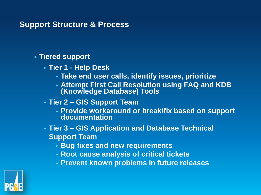#### **Support Structure & Process**

#### • **Tiered support**

- **Tier 1 - Help Desk**
	- **Take end user calls, identify issues, prioritize**
	- **Attempt First Call Resolution using FAQ and KDB (Knowledge Database) Tools**
- **Tier 2 – GIS Support Team**
	- **Provide workaround or break/fix based on support documentation**
- **Tier 3 – GIS Application and Database Technical Support Team**
	- **Bug fixes and new requirements**
	- **Root cause analysis of critical tickets**
	- **Prevent known problems in future releases**

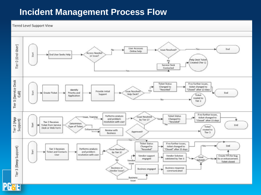# **Incident Management Process Flow**

#### **Tiered Level Support View**

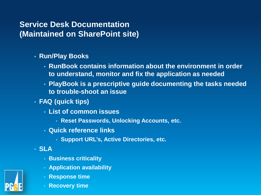# **Service Desk Documentation (Maintained on SharePoint site)**

- **Run/Play Books** 
	- **RunBook contains information about the environment in order to understand, monitor and fix the application as needed**
	- **PlayBook is a prescriptive guide documenting the tasks needed to trouble-shoot an issue**
- **FAQ (quick tips)**
	- **List of common issues**
		- **Reset Passwords, Unlocking Accounts, etc.**
	- **Quick reference links**
		- **Support URL's, Active Directories, etc.**
- **SLA**
	- **Business criticality**
	- **Application availability**
	- **Response time**
	- **Recovery time**

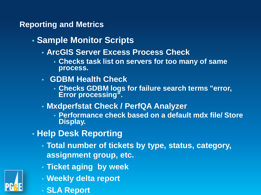### **Reporting and Metrics**

- **Sample Monitor Scripts**
	- **ArcGIS Server Excess Process Check**
		- **Checks task list on servers for too many of same process.**
	- **GDBM Health Check**
		- **Checks GDBM logs for failure search terms "error, Error processing".**
	- **Mxdperfstat Check / PerfQA Analyzer**
		- **Performance check based on a default mdx file/ Store Display.**
- **Help Desk Reporting**
	- **Total number of tickets by type, status, category, assignment group, etc.**
	- **Ticket aging by week**
	- **Weekly delta report**
		- **SLA Report**

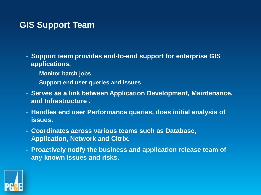# **GIS Support Team**

- **Support team provides end-to-end support for enterprise GIS applications.**
	- **Monitor batch jobs**
	- **Support end user queries and issues**
- **Serves as a link between Application Development, Maintenance, and Infrastructure .**
- **Handles end user Performance queries, does initial analysis of issues.**
- **Coordinates across various teams such as Database, Application, Network and Citrix.**
- **Proactively notify the business and application release team of any known issues and risks.**

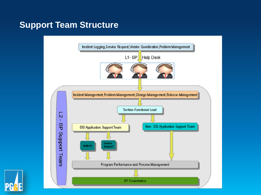# **Support Team Structure**



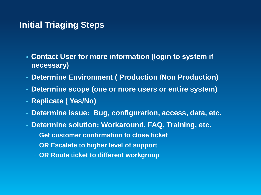# **Initial Triaging Steps**

- **Contact User for more information (login to system if necessary)**
- **Determine Environment ( Production /Non Production)**
- **Determine scope (one or more users or entire system)**
- **Replicate ( Yes/No)**
- **Determine issue: Bug, configuration, access, data, etc.**
- **Determine solution: Workaround, FAQ, Training, etc.**
	- **Get customer confirmation to close ticket**
	- **OR Escalate to higher level of support**
	- **OR Route ticket to different workgroup**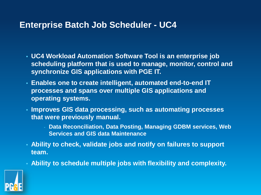# **Enterprise Batch Job Scheduler - UC4**

- **UC4 Workload Automation Software Tool is an enterprise job scheduling platform that is used to manage, monitor, control and synchronize GIS applications with PGE IT.**
- **Enables one to create intelligent, automated end-to-end IT processes and spans over multiple GIS applications and operating systems.**
- **Improves GIS data processing, such as automating processes that were previously manual.**
	- **Data Reconciliation, Data Posting, Managing GDBM services, Web Services and GIS data Maintenance**
- **Ability to check, validate jobs and notify on failures to support team.**
- **Ability to schedule multiple jobs with flexibility and complexity.**

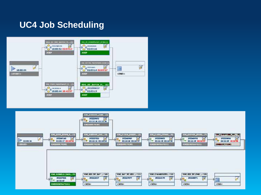# **UC4 Job Scheduling**



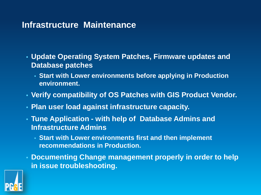# **Infrastructure Maintenance**

- **Update Operating System Patches, Firmware updates and Database patches** 
	- **Start with Lower environments before applying in Production environment.**
- **Verify compatibility of OS Patches with GIS Product Vendor.**
- **Plan user load against infrastructure capacity.**
- **Tune Application - with help of Database Admins and Infrastructure Admins** 
	- **Start with Lower environments first and then implement recommendations in Production.**
- **Documenting Change management properly in order to help in issue troubleshooting.**

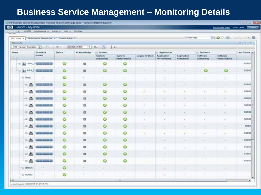# **Business Service Management – Monitoring Details**

|                              | eNOC - My BSM                                   | pro MyBSM Applications v Admin Hwy - Stelltap        |               |                         |                                                                     |                      |                                                                     |                                            |                           |                         | EatScreen View User Dona (Thingsum) |           |
|------------------------------|-------------------------------------------------|------------------------------------------------------|---------------|-------------------------|---------------------------------------------------------------------|----------------------|---------------------------------------------------------------------|--------------------------------------------|---------------------------|-------------------------|-------------------------------------|-----------|
|                              |                                                 | 300" View X Performance Perspective X Custom Image X |               |                         |                                                                     |                      |                                                                     |                                            | Select Page               |                         | $\star$ 0 $\pm$ 11                  | ■三日の      |
| <b>Hiercorn Fre</b>          |                                                 |                                                      |               |                         |                                                                     |                      |                                                                     |                                            |                           |                         |                                     | カチー田主义    |
|                              |                                                 | POE Electric Operation ( The                         | $\mathcal{L}$ | [Senct a Fitter]        | $\mathbf{V}$ $\mathbf{V}$                                           | List                 |                                                                     |                                            |                           |                         |                                     |           |
| Name<br>flusiness.<br>Impact |                                                 | <b>Status</b>                                        | Acknowledge   | $-5$ ystem              |                                                                     |                      | Application                                                         |                                            | E Software                |                         | Lant Status i =                     |           |
|                              |                                                 |                                                      |               | System.<br>Availability | <b>System</b><br>Performance                                        | <b>Legacy System</b> | Application<br>Performance                                          | Application<br>Availability                | Software.<br>Availability | Software<br>Performance |                                     |           |
|                              |                                                 | -IS 12 Into J Commission                             | G             | ٠                       | v                                                                   | o                    |                                                                     |                                            |                           |                         | n.                                  | 629/28    |
|                              |                                                 | <b>LO 11 WALK GERMANY</b>                            | ${}^{\circ}$  | m                       | ٥                                                                   | o                    | ×                                                                   | ×                                          | ×                         | ٥                       | O                                   | 621/20    |
|                              | $-11.04001$                                     |                                                      | o             | $\mathcal{F}$           | $\frac{1}{2} \left( \frac{1}{2} \right) \left( \frac{1}{2} \right)$ | $\left( -\right)$    | 法                                                                   | ×                                          | $\sim$                    | $\sim$                  | 92                                  |           |
|                              | $-11$ and                                       | 20 222 223 224 225                                   | $\bullet$     | m                       | o                                                                   | ۰                    | ÷                                                                   | GH.                                        | $\sim$                    | $\sim$                  | $\sim$ .                            | 6/29/20   |
|                              | $=$ $\equiv$                                    | <b>CON AND NOW WITH</b>                              | O             | 自                       | ٥                                                                   | ۰                    | $\sim$                                                              | $\sim$                                     | $\sim$                    | $\sim$                  | $\sim$                              | ecsos     |
|                              | $\equiv$ $\frac{1}{2}$                          | <b><i>Call and Mid-20</i></b>                        | $\circ$       | $\Box$                  | o                                                                   | o                    | $\frac{1}{2} \left( \frac{1}{2} \right) \left( \frac{1}{2} \right)$ | $\sim$                                     | $\sim$                    | $\sim$                  | m                                   | 629/21    |
|                              | $\equiv$ $\frac{1}{2}$                          | <b>All see on my lot</b>                             | ۰             | п                       | o                                                                   | $\bullet$            | 50                                                                  | X.                                         | R                         | w                       | x                                   | 6/25/2018 |
|                              | $-10$ $\frac{40}{100}$                          | <b>Contract Contract Contract</b>                    | o             | 目                       | o                                                                   | ٥                    | $\sim$                                                              |                                            |                           | $\sim$                  | $\sim$                              | 6/29/29   |
|                              | $-16$ and                                       | <b>STATE OF THE CAR</b>                              | o             | 血                       | o                                                                   | O                    | $\sim$                                                              |                                            |                           | $\sim$                  | $\sim$                              | 6/29/217  |
|                              | æ.<br>-18                                       | the party was paid and                               | $\circ$       | 曲                       | o                                                                   | $\bullet$            | $\frac{1}{2} \left( \frac{1}{2} \right)^2$                          | $\frac{1}{2} \left( \frac{1}{2} \right)^2$ | $\sim$                    | m                       | m                                   | 6/25/2    |
|                              | 田島                                              | ----                                                 | o             | m                       | O                                                                   | o                    | $\overline{a}$                                                      | $\sim$                                     | $\rightarrow$             | $\sim$                  | $\sim$                              | 6/28/21   |
|                              | $\equiv \frac{\partial E}{\partial \mathbf{m}}$ | in the contract and                                  | $\bullet$     | $\mathfrak{m}$          | ۰                                                                   | $\bullet$            | œ                                                                   | ×                                          | ×                         | œ.                      | w                                   | 6/25/2011 |
|                              | 田島                                              | <b><i>CONTRACTOR</i></b>                             | o             | 目                       | O                                                                   | O                    | 16                                                                  | $\sim$                                     | $\sim$                    | $\sim$                  | $\sim$                              | 6/20/21   |
|                              | $-11$ and                                       | <b>City State State State Dig-</b>                   | o             | $\omega$                | o                                                                   | $\bullet$            |                                                                     | ×                                          | $\sim$                    | ×                       | ×                                   | 6/28/21   |
|                              | $-91$                                           | a sua sea sea sua                                    | o             | 目                       | o                                                                   | o                    | ×                                                                   |                                            |                           |                         |                                     | 6/28/21   |
|                              | (ii) (Blatch)                                   |                                                      | o             | $\frac{1}{2}$           | $\equiv$                                                            | ×.                   | ×                                                                   | ×                                          | $\frac{1}{2}$             | DO 1                    | ×.                                  |           |
|                              | -00 (Citrix)                                    |                                                      | o             | ×                       |                                                                     |                      |                                                                     |                                            |                           | $\sim$                  |                                     |           |
|                              |                                                 |                                                      |               |                         |                                                                     | $\rightarrow$        |                                                                     |                                            |                           |                         |                                     | $\bullet$ |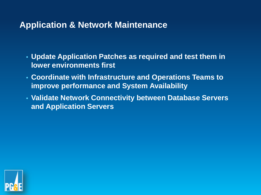# **Application & Network Maintenance**

- **Update Application Patches as required and test them in lower environments first**
- **Coordinate with Infrastructure and Operations Teams to improve performance and System Availability**
- **Validate Network Connectivity between Database Servers and Application Servers**

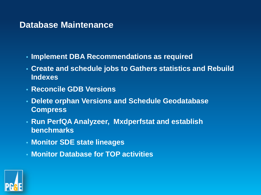### **Database Maintenance**

- **Implement DBA Recommendations as required**
- **Create and schedule jobs to Gathers statistics and Rebuild Indexes**
- **Reconcile GDB Versions**
- **Delete orphan Versions and Schedule Geodatabase Compress**
- **Run PerfQA Analyzeer, Mxdperfstat and establish benchmarks**
- **Monitor SDE state lineages**
- **Monitor Database for TOP activities**

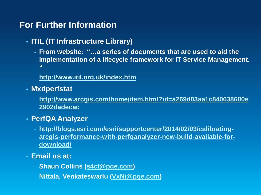# **For Further Information**

#### • **ITIL (IT Infrastructure Library)**

- **From website: "…a series of documents that are used to aid the implementation of a lifecycle framework for IT Service Management. "**
- **<http://www.itil.org.uk/index.htm>**
- **Mxdperfstat**
	- **[http://www.arcgis.com/home/item.html?id=a269d03aa1c840638680e](http://www.arcgis.com/home/item.html?id=a269d03aa1c840638680e2902dadecac) 2902dadecac**
- **PerfQA Analyzer**
	- **http://blogs.esri.com/esri/supportcenter/2014/02/03/calibrating[arcgis-performance-with-perfqanalyzer-new-build-available-for](http://blogs.esri.com/esri/supportcenter/2014/02/03/calibrating-arcgis-performance-with-perfqanalyzer-new-build-available-for-download/)download/**
- **Email us at:**
	- **Shaun Collins [\(s4ct@pge.com](mailto:s4ct@pge.com))**
	- **Nittala, Venkateswarlu ([VxNi@pge.com\)](mailto:VxNi@pge.com)**